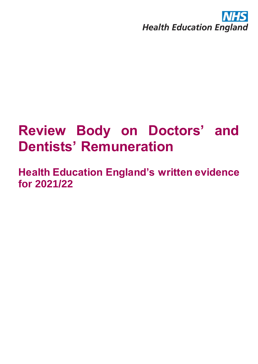

# **Review Body on Doctors' and Dentists' Remuneration**

**Health Education England's written evidence for 2021/22**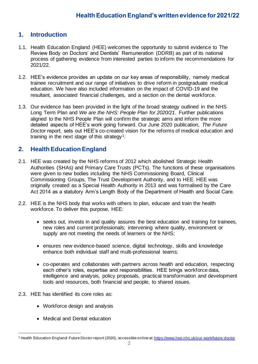# **1. Introduction**

- 1.1. Health Education England (HEE) welcomes the opportunity to submit evidence to The Review Body on Doctors' and Dentists' Remuneration (DDRB) as part of its national process of gathering evidence from interested parties to inform the recommendations for 2021/22.
- 1.2. HEE's evidence provides an update on our key areas of responsibility, namely medical trainee recruitment and our range of initiatives to drive reform in postgraduate medical education. We have also included information on the impact of COVID-19 and the resultant, associated financial challenges, and a section on the dental workforce.
- 1.3. Our evidence has been provided in the light of the broad strategy outlined in the NHS Long Term Plan and *We are the NHS: People Plan for 2020/21*. Further publications aligned to the NHS People Plan will confirm the strategic aims and inform the more detailed aspects of HEE's work going forward. Our June 2020 publication, *The Future Doctor* report, sets out HEE's co-created vision for the reforms of medical education and training in the next stage of this strategy<sup>1</sup>:

# **2. Health Education England**

- 2.1. HEE was created by the NHS reforms of 2012 which abolished Strategic Health Authorities (SHAs) and Primary Care Trusts (PCTs). The functions of these organisations were given to new bodies including the NHS Commissioning Board, Clinical Commissioning Groups, The Trust Development Authority, and to HEE. HEE was originally created as a Special Health Authority in 2013 and was formalised by the Care Act 2014 as a statutory Arm's Length Body of the Department of Health and Social Care.
- 2.2. HEE is the NHS body that works with others to plan, educate and train the health workforce. To deliver this purpose, HEE:
	- seeks out, invests in and quality assures the best education and training for trainees, new roles and current professionals; intervening where quality, environment or supply are not meeting the needs of learners or the NHS;
	- ensures new evidence-based science, digital technology, skills and knowledge enhance both individual staff and multi-professional teams;
	- co-operates and collaborates with partners across health and education, respecting each other's roles, expertise and responsibilities. HEE brings workforce data, intelligence and analysis, policy proposals, practical transformation and development tools and resources, both financial and people, to shared issues.
- 2.3. HEE has identified its core roles as:
	- Workforce design and analysis
	- Medical and Dental education

<sup>&</sup>lt;sup>1</sup> Health Education England: Future Doctor report (2020), accessible online at[: https://www.hee.nhs.uk/our-work/future-doctor](https://www.hee.nhs.uk/our-work/future-doctor)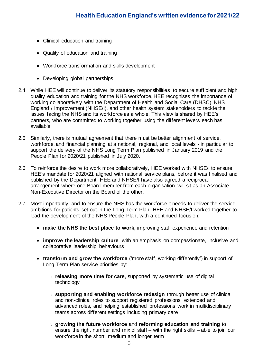- Clinical education and training
- Quality of education and training
- Workforce transformation and skills development
- Developing global partnerships
- 2.4. While HEE will continue to deliver its statutory responsibilities to secure sufficient and high quality education and training for the NHS workforce, HEE recognises the importance of working collaboratively with the Department of Health and Social Care (DHSC), NHS England / Improvement (NHSE/I), and other health system stakeholders to tackle the issues facing the NHS and its workforce as a whole. This view is shared by HEE's partners, who are committed to working together using the different levers each has available.
- 2.5. Similarly, there is mutual agreement that there must be better alignment of service, workforce, and financial planning at a national, regional, and local levels - in particular to support the delivery of the NHS Long Term Plan published in January 2019 and the People Plan for 2020/21 published in July 2020.
- 2.6. To reinforce the desire to work more collaboratively, HEE worked with NHSE/I to ensure HEE's mandate for 2020/21 aligned with national service plans, before it was finalised and published by the Department. HEE and NHSE/I have also agreed a reciprocal arrangement where one Board member from each organisation will sit as an Associate Non-Executive Director on the Board of the other.
- 2.7. Most importantly, and to ensure the NHS has the workforce it needs to deliver the service ambitions for patients set out in the Long Term Plan, HEE and NHSE/I worked together to lead the development of the NHS People Plan, with a continued focus on:
	- **make the NHS the best place to work,** improving staff experience and retention
	- **improve the leadership culture**, with an emphasis on compassionate, inclusive and collaborative leadership behaviours
	- **transform and grow the workforce** ('more staff, working differently') in support of Long Term Plan service priorities by:
		- o **releasing more time for care**, supported by systematic use of digital technology
		- o **supporting and enabling workforce redesign** through better use of clinical and non-clinical roles to support registered professions, extended and advanced roles, and helping established professions work in multidisciplinary teams across different settings including primary care
		- o **growing the future workforce** and **reforming education and training** to ensure the right number and mix of staff – with the right skills – able to join our workforce in the short, medium and longer term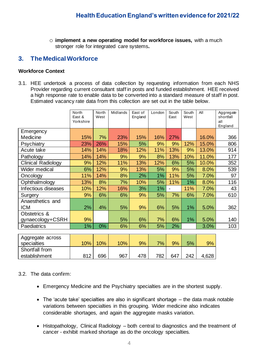o **implement a new operating model for workforce issues,** with a much stronger role for integrated care systems**.**

## **3. The Medical Workforce**

#### **Workforce Context**

3.1. HEE undertook a process of data collection by requesting information from each NHS Provider regarding current consultant staff in posts and funded establishment. HEE received a high response rate to enable data to be converted into a standard measure of staff in post. Estimated vacancy rate data from this collection are set out in the table below.

|                                | North<br>East &<br>Yorkshire | North<br>West | Midlands | East of<br>England | London | South<br>East | South<br>West | All   | Aggregate<br>shortfall<br>all<br>England |
|--------------------------------|------------------------------|---------------|----------|--------------------|--------|---------------|---------------|-------|------------------------------------------|
| Emergency                      |                              |               |          |                    |        |               |               |       |                                          |
| Medicine                       | 15%                          | 7%            | 23%      | 15%                | 16%    | 27%           |               | 16.0% | 366                                      |
| Psychiatry                     | 23%                          | 26%           | 15%      | 5%                 | 9%     | 9%            | 12%           | 15.0% | 806                                      |
| Acute take                     | 14%                          | 14%           | 18%      | 12%                | 11%    | 13%           | 9%            | 13.0% | 914                                      |
| Pathology                      | 14%                          | 14%           | 9%       | 9%                 | 8%     | 13%           | 10%           | 11.0% | 177                                      |
| <b>Clinical Radiology</b>      | 9%                           | 12%           | 11%      | 13%                | 12%    | 6%            | 5%            | 10.0% | 352                                      |
| Wider medical                  | 6%                           | 12%           | 9%       | 13%                | 5%     | 9%            | 5%            | 8.0%  | 539                                      |
| Oncology                       | 11%                          | 14%           | 8%       | 2%                 | 1%     | 11%           | 5%            | 7.0%  | 97                                       |
| Ophthalmology                  | 13%                          | 8%            | 7%       | 10%                | 5%     | 11%           | 1%            | 8.0%  | 116                                      |
| Infectious diseases            | 10%                          | 12%           | 16%      | 3%                 | 1%     |               | 11%           | 7.0%  | 43                                       |
| Surgery                        | 9%                           | 6%            | 6%       | 9%                 | 5%     | 7%            | 6%            | 7.0%  | 610                                      |
| Anaesthetics and<br><b>ICM</b> | 2%                           | 4%            | 5%       | 9%                 | 6%     | 5%            | 1%            | 5.0%  | 362                                      |
| Obstetrics &                   |                              |               |          |                    |        |               |               |       |                                          |
| gynaecology+CSRH               | 9%                           |               | 5%       | 6%                 | 7%     | 6%            | 1%            | 5.0%  | 140                                      |
| Paediatrics                    | 1%                           | 0%            | 6%       | 6%                 | 5%     | 2%            |               | 3.0%  | 103                                      |
|                                |                              |               |          |                    |        |               |               |       |                                          |
| Aggregate across               |                              |               |          |                    |        |               |               |       |                                          |
| specialties                    | 10%                          | 10%           | 10%      | 9%                 | 7%     | 9%            | 5%            | 9%    |                                          |
| Shortfall from                 |                              |               |          |                    |        |               |               |       |                                          |
| establishment                  | 812                          | 696           | 967      | 478                | 782    | 647           | 242           | 4,628 |                                          |

#### 3.2. The data confirm:

- Emergency Medicine and the Psychiatry specialties are in the shortest supply.
- The 'acute take' specialties are also in significant shortage the data mask notable variations between specialties in this grouping. Wider medicine also indicates considerable shortages, and again the aggregate masks variation.
- Histopathology, Clinical Radiology both central to diagnostics and the treatment of cancer - exhibit marked shortage as do the oncology specialties.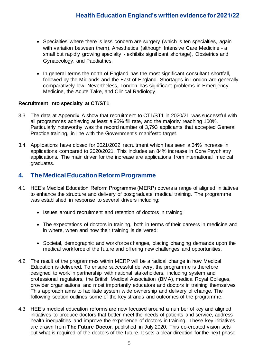- Specialties where there is less concern are surgery (which is ten specialties, again with variation between them), Anesthetics (although Intensive Care Medicine - a small but rapidly growing specialty - exhibits significant shortage), Obstetrics and Gynaecology, and Paediatrics.
- In general terms the north of England has the most significant consultant shortfall, followed by the Midlands and the East of England. Shortages in London are generally comparatively low. Nevertheless, London has significant problems in Emergency Medicine, the Acute Take, and Clinical Radiology.

#### **Recruitment into specialty at CT/ST1**

- 3.3. The data at Appendix A show that recruitment to CT1/ST1 in 2020/21 was successful with all programmes achieving at least a 95% fill rate, and the majority reaching 100%. Particularly noteworthy was the record number of 3,793 applicants that accepted General Practice training, in line with the Government's manifesto target.
- 3.4. Applications have closed for 2021/2022 recruitment which has seen a 34% increase in applications compared to 2020/2021. This includes an 84% increase in Core Psychiatry applications. The main driver for the increase are applications from international medical graduates.

### **4. The Medical Education Reform Programme**

- 4.1. HEE's Medical Education Reform Programme (MERP) covers a range of aligned initiatives to enhance the structure and delivery of postgraduate medical training. The programme was established in response to several drivers including:
	- Issues around recruitment and retention of doctors in training;
	- The expectations of doctors in training, both in terms of their careers in medicine and in where, when and how their training is delivered;
	- Societal, demographic and workforce changes, placing changing demands upon the medical workforce of the future and offering new challenges and opportunities.
- 4.2. The result of the programmes within MERP will be a radical change in how Medical Education is delivered. To ensure successful delivery, the programme is therefore designed to work in partnership with national stakeholders, including system and professional regulators, the British Medical Association (BMA), medical Royal Colleges, provider organisations and most importantly educators and doctors in training themselves. This approach aims to facilitate system wide ownership and delivery of change. The following section outlines some of the key strands and outcomes of the programme.
- 4.3. HEE's medical education reforms are now focused around a number of key and aligned initiatives to produce doctors that better meet the needs of patients and service, address health inequalities and improve the experience of doctors in training. These key initiatives are drawn from **The Future Doctor**, published in July 2020. This co-created vision sets out what is required of the doctors of the future. It sets a clear direction for the next phase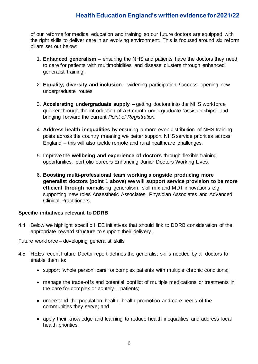of our reforms for medical education and training so our future doctors are equipped with the right skills to deliver care in an evolving environment. This is focused around six reform pillars set out below:

- 1. **Enhanced generalism –** ensuring the NHS and patients have the doctors they need to care for patients with multimobidities and disease clusters through enhanced generalist training.
- 2. **Equality, diversity and inclusion** widening participation / access, opening new undergraduate routes.
- 3. **Accelerating undergraduate supply –** getting doctors into the NHS workforce quicker through the introduction of a 6-month undergraduate 'assistantships' and bringing forward the current *Point of Registration.*
- 4. **Address health inequalities** by ensuring a more even distribution of NHS training posts across the country meaning we better support NHS service priorities across England – this will also tackle remote and rural healthcare challenges.
- 5. Improve the **wellbeing and experience of doctors** through flexible training opportunities, portfolio careers Enhancing Junior Doctors Working Lives.
- 6. **Boosting multi-professional team working alongside producing more generalist doctors (point 1 above) we will support service provision to be more efficient through** normalising generalism, skill mix and MDT innovations e.g. supporting new roles Anaesthetic Associates, Physician Associates and Advanced Clinical Practitioners.

#### **Specific initiatives relevant to DDRB**

4.4. Below we highlight specific HEE initiatives that should link to DDRB consideration of the appropriate reward structure to support their delivery.

#### Future workforce – developing generalist skills

- 4.5. HEEs recent Future Doctor report defines the generalist skills needed by all doctors to enable them to:
	- support 'whole person' care for complex patients with multiple chronic conditions;
	- manage the trade-offs and potential conflict of multiple medications or treatments in the care for complex or acutely ill patients;
	- understand the population health, health promotion and care needs of the communities they serve; and
	- apply their knowledge and learning to reduce health inequalities and address local health priorities.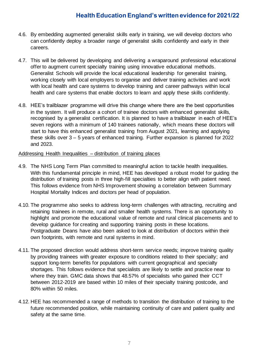- 4.6. By embedding augmented generalist skills early in training, we will develop doctors who can confidently deploy a broader range of generalist skills confidently and early in their careers.
- 4.7. This will be delivered by developing and delivering a wraparound professional educational offer to augment current specialty training using innovative educational methods. Generalist Schools will provide the local educational leadership for generalist training, working closely with local employers to organise and deliver training activities and work with local health and care systems to develop training and career pathways within local health and care systems that enable doctors to learn and apply these skills confidently.
- 4.8. HEE's trailblazer programme will drive this change where there are the best opportunities in the system. It will produce a cohort of trainee doctors with enhanced generalist skills, recognised by a generalist certification. It is planned to have a trailblazer in each of HEE's seven regions with a minimum of 140 trainees nationally, which means these doctors will start to have this enhanced generalist training from August 2021, learning and applying these skills over 3 – 5 years of enhanced training. Further expansion is planned for 2022 and 2023.

#### Addressing Health Inequalities – distribution of training places

- 4.9. The NHS Long Term Plan committed to meaningful action to tackle health inequalities. With this fundamental principle in mind, HEE has developed a robust model for guiding the distribution of training posts in three high-fill specialties to better align with patient need. This follows evidence from NHS Improvement showing a correlation between Summary Hospital Mortality Indices and doctors per head of population.
- 4.10. The programme also seeks to address long-term challenges with attracting, recruiting and retaining trainees in remote, rural and smaller health systems. There is an opportunity to highlight and promote the educational value of remote and rural clinical placements and to develop guidance for creating and supporting training posts in these locations. Postgraduate Deans have also been asked to look at distribution of doctors within their own footprints, with remote and rural systems in mind.
- 4.11. The proposed direction would address short-term service needs; improve training quality by providing trainees with greater exposure to conditions related to their specialty; and support long-term benefits for populations with current geographical and specialty shortages. This follows evidence that specialists are likely to settle and practice near to where they train. GMC data shows that 48.57% of specialists who gained their CCT between 2012-2019 are based within 10 miles of their specialty training postcode, and 80% within 50 miles.
- 4.12. HEE has recommended a range of methods to transition the distribution of training to the future recommended position, while maintaining continuity of care and patient quality and safety at the same time.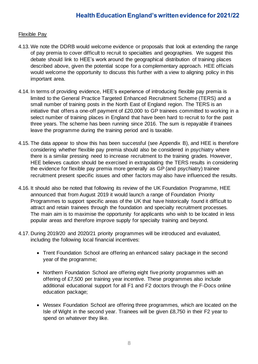#### Flexible Pay

- 4.13. We note the DDRB would welcome evidence or proposals that look at extending the range of pay premia to cover difficult to recruit to specialties and geographies. We suggest this debate should link to HEE's work around the geographical distribution of training places described above, given the potential scope for a complementary approach. HEE officials would welcome the opportunity to discuss this further with a view to aligning policy in this important area.
- 4.14. In terms of providing evidence, HEE's experience of introducing flexible pay premia is limited to the General Practice Targeted Enhanced Recruitment Scheme (TERS) and a small number of training posts in the North East of England region. The TERS is an initiative that offers a one-off payment of £20,000 to GP trainees committed to working in a select number of training places in England that have been hard to recruit to for the past three years. The scheme has been running since 2016. The sum is repayable if trainees leave the programme during the training period and is taxable.
- 4.15. The data appear to show this has been successful (see Appendix B), and HEE is therefore considering whether flexible pay premia should also be considered in psychiatry where there is a similar pressing need to increase recruitment to the training grades. However, HEE believes caution should be exercised in extrapolating the TERS results in considering the evidence for flexible pay premia more generally as GP (and psychiatry) trainee recruitment present specific issues and other factors may also have influenced the results.
- 4.16. It should also be noted that following its review of the UK Foundation Programme, HEE announced that from August 2019 it would launch a range of Foundation Priority Programmes to support specific areas of the UK that have historically found it difficult to attract and retain trainees through the foundation and specialty recruitment processes. The main aim is to maximise the opportunity for applicants who wish to be located in less popular areas and therefore improve supply for specialty training and beyond.
- 4.17. During 2019/20 and 2020/21 priority programmes will be introduced and evaluated, including the following local financial incentives:
	- Trent Foundation School are offering an enhanced salary package in the second year of the programme;
	- Northern Foundation School are offering eight five priority programmes with an offering of £7,500 per training year incentive. These programmes also include additional educational support for all F1 and F2 doctors through the F-Docs online education package;
	- Wessex Foundation School are offering three programmes, which are located on the Isle of Wight in the second year. Trainees will be given £8,750 in their F2 year to spend on whatever they like.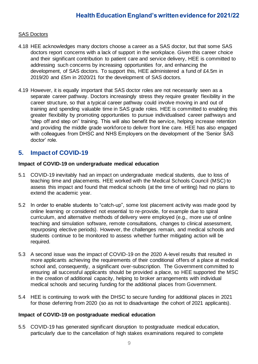#### SAS Doctors

- 4.18 HEE acknowledges many doctors choose a career as a SAS doctor, but that some SAS doctors report concerns with a lack of support in the workplace. Given this career choice and their significant contribution to patient care and service delivery, HEE is committed to addressing such concerns by increasing opportunities for, and enhancing the development, of SAS doctors. To support this, HEE administered a fund of £4.5m in 2019/20 and £5m in 2020/21 for the development of SAS doctors.
- 4.19 However, it is equally important that SAS doctor roles are not necessarily seen as a separate career pathway. Doctors increasingly stress they require greater flexibility in the career structure, so that a typical career pathway could involve moving in and out of training and spending valuable time in SAS grade roles. HEE is committed to enabling this greater flexibility by promoting opportunities to pursue individualised career pathways and "step off and step on" training. This will also benefit the service, helping increase retention and providing the middle grade workforce to deliver front line care. HEE has also engaged with colleagues from DHSC and NHS Employers on the development of the 'Senior SAS doctor' role.

### **5. Impact of COVID-19**

#### **Impact of COVID-19 on undergraduate medical education**

- 5.1 COVID-19 inevitably had an impact on undergraduate medical students, due to loss of teaching time and placements. HEE worked with the Medical Schools Council (MSC) to assess this impact and found that medical schools (at the time of writing) had no plans to extend the academic year.
- 5.2 In order to enable students to "catch-up", some lost placement activity was made good by online learning or considered not essential to re-provide, for example due to spiral curriculum, and alternative methods of delivery were employed (e.g., more use of online teaching and simulation software, remote consultations, changes to clinical assessment, repurposing elective periods). However, the challenges remain, and medical schools and students continue to be monitored to assess whether further mitigating action will be required.
- 5.3 A second issue was the impact of COVID-19 on the 2020 A-level results that resulted in more applicants achieving the requirements of their conditional offers of a place at medical school and, consequently, a significant over-subscription. The Government committed to ensuring all successful applicants should be provided a place, so HEE supported the MSC in the creation of additional capacity, helping to broker arrangements with individual medical schools and securing funding for the additional places from Government.
- 5.4 HEE is continuing to work with the DHSC to secure funding for additional places in 2021 for those deferring from 2020 (so as not to disadvantage the cohort of 2021 applicants).

#### **Impact of COVID-19 on postgraduate medical education**

5.5 COVID-19 has generated significant disruption to postgraduate medical education, particularly due to the cancellation of high stakes examinations required to complete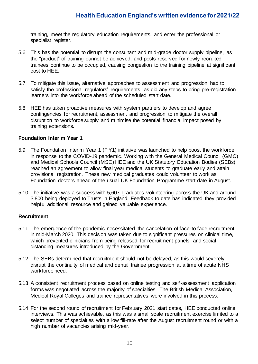training, meet the regulatory education requirements, and enter the professional or specialist register.

- 5.6 This has the potential to disrupt the consultant and mid-grade doctor supply pipeline, as the "product" of training cannot be achieved, and posts reserved for newly recruited trainees continue to be occupied, causing congestion to the training pipeline at significant cost to HEE.
- 5.7 To mitigate this issue, alternative approaches to assessment and progression had to satisfy the professional regulators' requirements, as did any steps to bring pre-registration learners into the workforce ahead of the scheduled start date.
- 5.8 HEE has taken proactive measures with system partners to develop and agree contingencies for recruitment, assessment and progression to mitigate the overall disruption to workforce supply and minimise the potential financial impact posed by training extensions.

#### **Foundation Interim Year 1**

- 5.9 The Foundation Interim Year 1 (FiY1) initiative was launched to help boost the workforce in response to the COVID-19 pandemic. Working with the General Medical Council (GMC) and Medical Schools Council (MSC) HEE and the UK Statutory Education Bodies (SEBs) reached an agreement to allow final year medical students to graduate early and attain provisional registration. These new medical graduates could volunteer to work as Foundation doctors ahead of the usual UK Foundation Programme start date in August.
- 5.10 The initiative was a success with 5,607 graduates volunteering across the UK and around 3,800 being deployed to Trusts in England. Feedback to date has indicated they provided helpful additional resource and gained valuable experience.

#### **Recruitment**

- 5.11 The emergence of the pandemic necessitated the cancelation of face-to face recruitment in mid-March 2020. This decision was taken due to significant pressures on clinical time, which prevented clinicians from being released for recruitment panels, and social distancing measures introduced by the Government.
- 5.12 The SEBs determined that recruitment should not be delayed, as this would severely disrupt the continuity of medical and dental trainee progression at a time of acute NHS workforce need.
- 5.13 A consistent recruitment process based on online testing and self-assessment application forms was negotiated across the majority of specialties. The British Medical Association, Medical Royal Colleges and trainee representatives were involved in this process.
- 5.14 For the second round of recruitment for February 2021 start dates, HEE conducted online interviews. This was achievable, as this was a small scale recruitment exercise limited to a select number of specialties with a low fill-rate after the August recruitment round or with a high number of vacancies arising mid-year.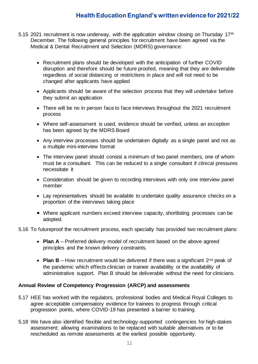- 5.15 2021 recruitment is now underway, with the application window closing on Thursday 17<sup>th</sup> December. The following general principles for recruitment have been agreed via the Medical & Dental Recruitment and Selection (MDRS) governance:
	- Recruitment plans should be developed with the anticipation of further COVID disruption and therefore should be future proofed, meaning that they are deliverable regardless of social distancing or restrictions in place and will not need to be changed after applicants have applied
	- Applicants should be aware of the selection process that they will undertake before they submit an application
	- There will be no in person face to face interviews throughout the 2021 recruitment process
	- Where self-assessment is used, evidence should be verified, unless an exception has been agreed by the MDRS Board
	- Any interview processes should be undertaken digitally as a single panel and not as a multiple mini-interview format
	- The interview panel should consist a minimum of two panel members, one of whom must be a consultant. This can be reduced to a single consultant if clinical pressures necessitate it
	- Consideration should be given to recording interviews with only one interview panel member
	- Lay representatives should be available to undertake quality assurance checks on a proportion of the interviews taking place
	- Where applicant numbers exceed interview capacity, shortlisting processes can be adopted.

#### 5.16 To futureproof the recruitment process, each specialty has provided two recruitment plans:

- **Plan A** Preferred delivery model of recruitment based on the above agreed principles and the known delivery constraints.
- **Plan B** How recruitment would be delivered if there was a significant  $2^{nd}$  peak of the pandemic which effects clinician or trainee availability or the availability of administrative support. Plan B should be deliverable without the need for clinicians.

#### **Annual Review of Competency Progression (ARCP) and assessments**

- 5.17 HEE has worked with the regulators, professional bodies and Medical Royal Colleges to agree acceptable compensatory evidence for trainees to progress through critical progression points, where COVID-19 has presented a barrier to training.
- 5.18 We have also identified flexible and technology-supported contingencies for high-stakes assessment; allowing examinations to be replaced with suitable alternatives or to be rescheduled as remote assessments at the earliest possible opportunity.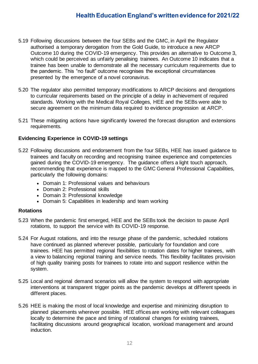- 5.19 Following discussions between the four SEBs and the GMC, in April the Regulator authorised a temporary derogation from the Gold Guide, to introduce a new ARCP Outcome 10 during the COVID-19 emergency. This provides an alternative to Outcome 3, which could be perceived as unfairly penalising trainees. An Outcome 10 indicates that a trainee has been unable to demonstrate all the necessary curriculum requirements due to the pandemic. This "no fault" outcome recognises the exceptional circumstances presented by the emergence of a novel coronavirus.
- 5.20 The regulator also permitted temporary modifications to ARCP decisions and derogations to curricular requirements based on the principle of a delay in achievement of required standards. Working with the Medical Royal Colleges, HEE and the SEBs were able to secure agreement on the minimum data required to evidence progression at ARCP.
- 5.21 These mitigating actions have significantly lowered the forecast disruption and extensions requirements.

#### **Evidencing Experience in COVID-19 settings**

- 5.22 Following discussions and endorsement from the four SEBs, HEE has issued guidance to trainees and faculty on recording and recognising trainee experience and competencies gained during the COVID-19 emergency. The guidance offers a light touch approach, recommending that experience is mapped to the GMC General Professional Capabilities, particularly the following domains:
	- Domain 1: Professional values and behaviours
	- Domain 2: Professional skills
	- Domain 3: Professional knowledge
	- Domain 5: Capabilities in leadership and team working

#### **Rotations**

- 5.23 When the pandemic first emerged, HEE and the SEBs took the decision to pause April rotations, to support the service with its COVID-19 response.
- 5.24 For August rotations, and into the resurge phase of the pandemic, scheduled rotations have continued as planned wherever possible, particularly for foundation and core trainees. HEE has permitted regional flexibilities to rotation dates for higher trainees, with a view to balancing regional training and service needs. This flexibility facilitates provision of high quality training posts for trainees to rotate into and support resilience within the system.
- 5.25 Local and regional demand scenarios will allow the system to respond with appropriate interventions at transparent trigger points as the pandemic develops at different speeds in different places.
- 5.26 HEE is making the most of local knowledge and expertise and minimizing disruption to planned placements wherever possible. HEE offices are working with relevant colleagues locally to determine the pace and timing of rotational changes for existing trainees, facilitating discussions around geographical location, workload management and around induction.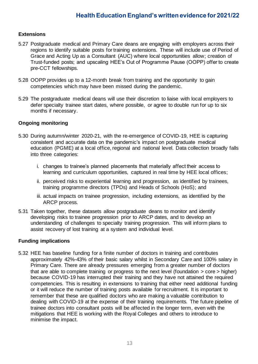#### **Extensions**

- 5.27 Postgraduate medical and Primary Care deans are engaging with employers across their regions to identify suitable posts for training extensions. These will include use of Period of Grace and Acting Up as a Consultant (AUC) where local opportunities allow; creation of Trust-funded posts; and upscaling HEE's Out of Programme Pause (OOPP) offer to create pre-CCT fellowships.
- 5.28 OOPP provides up to a 12-month break from training and the opportunity to gain competencies which may have been missed during the pandemic.
- 5.29 The postgraduate medical deans will use their discretion to liaise with local employers to defer specialty trainee start dates, where possible, or agree to double run for up to six months if necessary.

#### **Ongoing monitoring**

- 5.30 During autumn/winter 2020-21, with the re-emergence of COVID-19, HEE is capturing consistent and accurate data on the pandemic's impact on postgraduate medical education (PGME) at a local office, regional and national level. Data collection broadly falls into three categories:
	- i. changes to trainee's planned placements that materially affect their access to learning and curriculum opportunities, captured in real time by HEE local offices;
	- ii. perceived risks to experiential learning and progression, as identified by trainees, training programme directors (TPDs) and Heads of Schools (HoS); and
	- iii. actual impacts on trainee progression, including extensions, as identified by the ARCP process.
- 5.31 Taken together, these datasets allow postgraduate deans to monitor and identify developing risks to trainee progression prior to ARCP dates, and to develop an understanding of challenges to specialty training progression. This will inform plans to assist recovery of lost training at a system and individual level.

#### **Funding implications**

5.32 HEE has baseline funding for a finite number of doctors in training and contributes approximately 42%-43% of their basic salary whilst in Secondary Care and 100% salary in Primary Care. There are already pressures emerging from a greater number of doctors that are able to complete training or progress to the next level (foundation > core > higher) because COVID-19 has interrupted their training and they have not attained the required competencies. This is resulting in extensions to training that either need additional funding or it will reduce the number of training posts available for recruitment. It is important to remember that these are qualified doctors who are making a valuable contribution to dealing with COVID-19 at the expense of their training requirements. The future pipeline of trainee doctors into consultant posts will be affected in the longer term, even with the mitigations that HEE is working with the Royal Colleges and others to introduce to minimise the impact.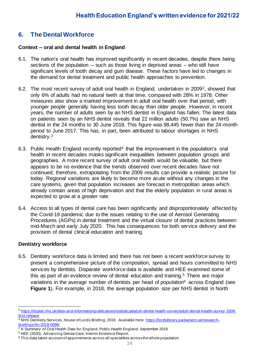# **6. The Dental Workforce**

#### **Context – oral and dental health in England**

- 6.1. The nation's oral health has improved significantly in recent decades, despite there being sections of the population – such as those living in deprived areas – who still have significant levels of tooth decay and gum disease. These factors have led to changes in the demand for dental treatment and public health approaches to prevention.
- 6.2. The most recent survey of adult oral health in England, undertaken in 20092, showed that only 6% of adults had no natural teeth at that time, compared with 28% in 1978. Other measures also show a marked improvement in adult oral health over that period, with younger people generally having less tooth decay than older people. However, in recent years, the number of adults seen by an NHS dentist in England has fallen. The latest data on patients seen by an NHS dentist reveals that 22 million adults (50.7%) saw an NHS dentist in the 24 months to 30 June 2018. This figure was 98,445 fewer than the 24-month period to June 2017. This has, in part, been attributed to labour shortages in NHS dentistry.<sup>3</sup>
- 6.3. Public Health England recently reported<sup>4</sup> that the improvement in the population's oral health in recent decades masks significant inequalities between population groups and geographies. A more recent survey of adult oral health would be valuable, but there appears to be no evidence that the trends observed over recent decades have not continued; therefore, extrapolating from the 2009 results can provide a realistic picture for today. Regional variations are likely to become more acute without any changes in the care systems, given that population increases are forecast in metropolitan areas which already contain areas of high deprivation and that the elderly population in rural areas is expected to grow at a greater rate.
- 6.4. Access to all types of dental care has been significantly and disproportionately affected by the Covid-19 pandemic due to the issues relating to the use of Aerosol Generating Procedures (AGPs) in dental treatment and the virtual closure of dental practices between mid-March and early July 2020. This has consequences for both service delivery and the provision of dental clinical education and training.

#### **Dentistry workforce**

6.5. Dentistry workforce data is limited and there has not been a recent workforce survey to present a comprehensive picture of the composition, spread and hours committed to NHS services by dentists. Disparate workforce data is available and HEE examined some of this as part of an evidence review of dental education and training.<sup>5</sup> There are major variations in the average number of dentists per head of population<sup>6</sup> across England (see **Figure 1**). For example, in 2018, the average population size per NHS dentist in North

<sup>2</sup> [https://digital.nhs.uk/data-and-information/publications/statistical/adult-dental-health-survey/adult-dental-health-survey-2009](https://digital.nhs.uk/data-and-information/publications/statistical/adult-dental-health-survey/adult-dental-health-survey-2009-first-release) [first-release](https://digital.nhs.uk/data-and-information/publications/statistical/adult-dental-health-survey/adult-dental-health-survey-2009-first-release)

<sup>3</sup> NHS Dentistry Services, House of Lords Briefing, 2019. Available here: [https://lordslibrary.parliament.uk/research](https://lordslibrary.parliament.uk/research-briefings/lln-2019-0096/)[briefings/lln-2019-0096/](https://lordslibrary.parliament.uk/research-briefings/lln-2019-0096/)

<sup>&</sup>lt;sup>4</sup> A Summary of Oral Health Data for England, Public Health England, September 2019.

<sup>5</sup> HEE (2020). Advancing Dental Care: Interim Evidence Report.

<sup>6</sup> This data takes account of appointments across all specialities across the whole population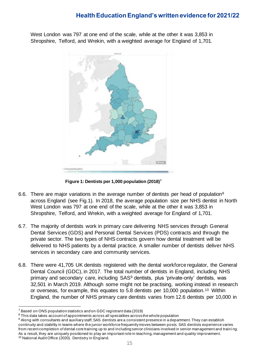West London was 797 at one end of the scale, while at the other it was 3,853 in Shropshire, Telford, and Wrekin, with a weighted average for England of 1,701.



**Figure 1: Dentists per 1,000 population (2018)<sup>7</sup>**

- 6.6. There are major variations in the average number of dentists per head of population<sup>8</sup> across England (see Fig.1). In 2018, the average population size per NHS dentist in North West London was 797 at one end of the scale, while at the other it was 3,853 in Shropshire, Telford, and Wrekin, with a weighted average for England of 1,701.
- 6.7. The majority of dentists work in primary care delivering NHS services through General Dental Services (GDS) and Personal Dental Services (PDS) contracts and through the private sector. The two types of NHS contracts govern how dental treatment will be delivered to NHS patients by a dental practice. A smaller number of dentists deliver NHS services in secondary care and community services.
- 6.8. There were 41,705 UK dentists registered with the dental workforce regulator, the General Dental Council (GDC), in 2017. The total number of dentists in England, including NHS primary and secondary care, including SAS<sup>9</sup> dentists, plus 'private-only' dentists, was 32,501 in March 2019. Although some might not be practising, working instead in research or overseas, for example, this equates to 5.8 dentists per 10,000 population.<sup>10</sup> Within England, the number of NHS primary care dentists varies from 12.6 dentists per 10,000 in

<sup>7</sup> Based on ONS population statistics and on GDC registrant data (2019)

<sup>&</sup>lt;sup>8</sup> This data takes account of appointments across all specialities across the whole population

<sup>&</sup>lt;sup>9</sup> Along with consultants and auxiliary staff, SAS dentists are a consistent presence in a department. They can establish continuity and stability in teams where the junior workforce frequently moves between posts. SAS dentists experience varies from recent completion of dental core training up to and including senior clinicians involved in senior management and traini ng. As a result, they are uniquely positioned to play an important role in teaching, management and quality improvement. <sup>10</sup> National Audit Office (2020). Dentistry in England.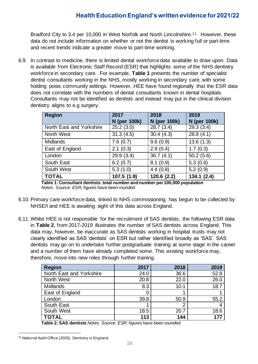Bradford City to 3.4 per 10,000 in West Norfolk and North Lincolnshire.<sup>11</sup> However, these data do not include information on whether or not the dentist is working full or part-time and recent trends indicate a greater move to part-time working.

6.9. In contrast to medicine, there is limited dental workforce data available to draw upon. Data is available from Electronic Staff Record (ESR) that highlights some of the NHS dentistry workforce in secondary care. For example, **Table 1** presents the number of specialist dentist consultants working in the NHS, mostly working in secondary care, with some holding posts community settings. However, HEE have found regionally that the ESR data does not correlate with the numbers of dental consultants known in dental hospitals. Consultants may not be identified as dentists and instead may put in the clinical division dentistry aligns to e.g surgery.

| <b>Region</b>            | 2017                | 2018         | 2019         |
|--------------------------|---------------------|--------------|--------------|
|                          | <b>N</b> (per 100k) | N (per 100k) | N (per 100k) |
| North East and Yorkshire | 25.2(3.0)           | 28.7(3.4)    | 29.3(3.4)    |
| North West               | 31.3(4.5)           | 30.4(4.3)    | 28.8(4.1)    |
| <b>Midlands</b>          | 7.6(0.7)            | 9.6(0.9)     | 13.6(1.3)    |
| East of England          | 2.1(0.3)            | 2.9(0.4)     | 1.7(0.3)     |
| London                   | 29.9(3.4)           | 36.7(4.1)    | 50.2(5.6)    |
| South East               | 6.2(0.7)            | 8.1(0.9)     | 5.3(0.6)     |
| South West               | 5.3(1.0)            | 4.4(0.8)     | 5.2(0.9)     |
| <b>TOTAL</b>             | 107.5 (1.9)         | 120.6 (2.2)  | 134.1(2.4)   |

 **Table 1: Consultant dentists: total number and number per 100,000 population**  *Notes. Source: ESR; figures have been rounded.*

- 6.10. Primary care workforce data, linked to NHS commissioning, has begun to be collected by NHSE/I and HEE is awaiting sight of this data across England.
- 6.11. Whilst HEE is not responsible for the recruitment of SAS dentists, the following ESR data in **Table 2**, from 2017-2019 illustrates the number of SAS dentists across England. This data may, however, be inaccurate as SAS dentists working in hospital trusts may not clearly identified as SAS 'dentists' on ESR but rather identified broadly as 'SAS'. SAS dentists may go on to undertake further postgraduate training at some stage in the career and a number of them have already completed some. This existing workforce may, therefore, move into new roles through further training.

| <b>Region</b>            | 2017 | 2018 | 2019 |
|--------------------------|------|------|------|
| North East and Yorkshire | 24.0 | 36.6 | 52.8 |
| North West               | 20.8 | 22.0 | 26.0 |
| <b>Midlands</b>          | 8.3  | 10.1 | 18.7 |
| East of England          |      |      |      |
| London                   | 39.8 | 50.9 | 55.2 |
| South East               |      | 2    |      |
| South West               | 18.5 | 20.7 | 18.6 |
| <b>TOTAL</b>             | 113  | 144  | 177  |

 **Table 2: SAS dentists** *Notes. Source: ESR; figures have been rounded.*

<sup>&</sup>lt;sup>11</sup> National Audit Office (2020). Dentistry in England.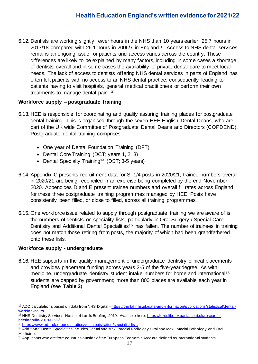6.12. Dentists are working slightly fewer hours in the NHS than 10 years earlier: 25.7 hours in 2017/18 compared with 26.1 hours in 2006/7 in England.<sup>12</sup> Access to NHS dental services remains an ongoing issue for patients and access varies across the country. These differences are likely to be explained by many factors, including in some cases a shortage of dentists overall and in some cases the availability of private dental care to meet local needs. The lack of access to dentists offering NHS dental services in parts of England has often left patients with no access to an NHS dental practice, consequently leading to patients having to visit hospitals, general medical practitioners or perform their own treatments to manage dental pain.<sup>13</sup>

#### **Workforce supply – postgraduate training**

- 6.13. HEE is responsible for coordinating and quality assuring training places for postgraduate dental training. This is organised through the seven HEE English Dental Deans, who are part of the UK wide Committee of Postgraduate Dental Deans and Directors (COPDEND). Postgraduate dental training comprises:
	- One year of Dental Foundation Training (DFT)
	- Dental Core Training (DCT; years 1, 2, 3)
	- Dental Specialty Training<sup>14</sup> (DST; 3-5 years)
- 6.14. Appendix C presents recruitment data for ST1/4 posts in 2020/21; trainee numbers overall in 2020/21 are being reconciled in an exercise being completed by the end November 2020. Appendices D and E present trainee numbers and overall fill rates across England for these three postgraduate training programmes managed by HEE. Posts have consistently been filled, or close to filled, across all training programmes.
- 6.15. One workforce issue related to supply through postgraduate training we are aware of is the numbers of dentists on speciality lists, particularly in Oral Surgery / Special Care Dentistry and Additional Dental Specialities<sup>15</sup> has fallen. The number of trainees in training does not match those retiring from posts, the majority of which had been grandfathered onto these lists.

#### **Workforce supply - undergraduate**

6.16. HEE supports in the quality management of undergraduate dentistry clinical placements and provides placement funding across years 2-5 of the five-year degree. As with medicine, undergraduate dentistry student intake numbers for home and international<sup>16</sup> students are capped by government; more than 800 places are available each year in England (see **Table 3**).

<sup>&</sup>lt;sup>12</sup> ADC calculations based on data from NHS Digital - [https://digital.nhs.uk/data-and-information/publications/statistical/dental](https://digital.nhs.uk/data-and-information/publications/statistical/dental-working-hours)[working-hours](https://digital.nhs.uk/data-and-information/publications/statistical/dental-working-hours)

<sup>&</sup>lt;sup>13</sup> NHS Dentistry Services, House of Lords Briefing, 2019. Available here: [https://lordslibrary.parliament.uk/research](https://lordslibrary.parliament.uk/research-briefings/lln-2019-0096/)[briefings/lln-2019-0096/](https://lordslibrary.parliament.uk/research-briefings/lln-2019-0096/)

<sup>&</sup>lt;sup>14</sup> <https://www.gdc-uk.org/registration/your-registration/specialist-lists>

<sup>&</sup>lt;sup>15</sup> Additional Dental Specialties includes Dental and Maxillofacial Radiology, Oral and Maxillofacial Pathology, and Oral Medicine.

<sup>&</sup>lt;sup>16</sup> Applicants who are from countries outside of the European Economic Area are defined as international students.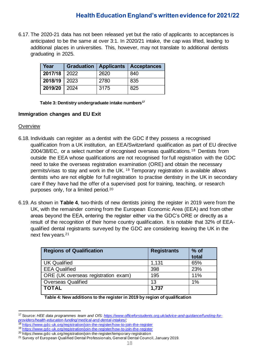6.17. The 2020-21 data has not been released yet but the ratio of applicants to acceptances is anticipated to be the same at over 3:1. In 2020/21 intake, the cap was lifted, leading to additional places in universities. This, however, may not translate to additional dentists graduating in 2025.

| Year         |      | Graduation   Applicants   Acceptances |
|--------------|------|---------------------------------------|
| 2017/18 2022 | 2620 | 840                                   |
| 2018/19 2023 | 2780 | 835                                   |
| 2019/20 2024 | 3175 | 825                                   |

 **Table 3: Dentistry undergraduate intake numbers<sup>17</sup>**

#### **Immigration changes and EU Exit**

#### **Overview**

- 6.18. Individuals can register as a dentist with the GDC if they possess a recognised qualification from a UK institution, an EEA/Switzerland qualification as part of EU directive 2004/38/EC, or a select number of recognised overseas qualifications.<sup>18</sup> Dentists from outside the EEA whose qualifications are not recognised for full registration with the GDC need to take the overseas registration examination (ORE) and obtain the necessary permits/visas to stay and work in the UK. <sup>19</sup> Temporary registration is available allows dentists who are not eligible for full registration to practise dentistry in the UK in secondary care if they have had the offer of a supervised post for training, teaching, or research purposes only, for a limited period.<sup>20</sup>
- 6.19. As shown in **Table 4**, two-thirds of new dentists joining the register in 2019 were from the UK, with the remainder coming from the European Economic Area (EEA) and from other areas beyond the EEA, entering the register either via the GDC's ORE or directly as a result of the recognition of their home country qualification. It is notable that 32% of EEAqualified dental registrants surveyed by the GDC are considering leaving the UK in the next few years.<sup>21</sup>

| <b>Regions of Qualification</b>     | <b>Registrants</b> | % of<br>total |
|-------------------------------------|--------------------|---------------|
| <b>UK Qualified</b>                 | 1,131              | 65%           |
| <b>EEA Qualified</b>                | 398                | 23%           |
| ORE (UK overseas registration exam) | 195                | 11%           |
| <b>Overseas Qualified</b>           | 13                 | 1%            |
| <b>TOTAL</b>                        | 1,737              |               |

 **Table 4: New additions to the register in 2019 by region of qualification**

- <https://www.gdc-uk.org/registration/join-the-register/how-to-join-the-register>
- <sup>19</sup> <https://www.gdc-uk.org/registration/join-the-register/how-to-join-the-register>

<sup>17</sup> Source: *HEE data programmes team and OfS: [https://www.officeforstudents.org.uk/advice-and-guidance/funding-for](https://www.officeforstudents.org.uk/advice-and-guidance/funding-for-providers/health-education-funding/medical-and-dental-intakes/)[providers/health-education-funding/medical-and-dental-intakes/;](https://www.officeforstudents.org.uk/advice-and-guidance/funding-for-providers/health-education-funding/medical-and-dental-intakes/)* 

<sup>20</sup> https://www.gdc-uk.org/registration/join-the-register/temporary-registration

<sup>21</sup> Survey of European Qualified Dental Professionals, General Dental Council, January 2019.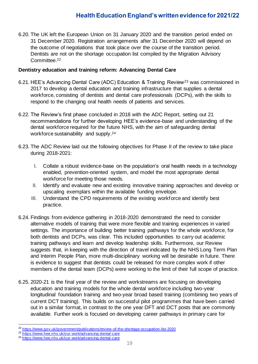6.20. The UK left the European Union on 31 January 2020 and the transition period ended on 31 December 2020. Registration arrangements after 31 December 2020 will depend on the outcome of negotiations that took place over the course of the transition period. Dentists are not on the shortage occupation list compiled by the Migration Advisory Committee.<sup>22</sup>

#### **Dentistry education and training reform: Advancing Dental Care**

- 6.21. HEE's Advancing Dental Care (ADC) Education & Training Review<sup>23</sup> was commissioned in 2017 to develop a dental education and training infrastructure that supplies a dental workforce, consisting of dentists and dental care professionals (DCPs), with the skills to respond to the changing oral health needs of patients and services.
- 6.22. The Review's first phase concluded in 2018 with the ADC Report, setting out 21 recommendations for further developing HEE's evidence-base and understanding of the dental workforce required for the future NHS, with the aim of safeguarding dental workforce sustainability and supply.<sup>24</sup>
- 6.23. The ADC Review laid out the following objectives for Phase II of the review to take place during 2018-2021:
	- I. Collate a robust evidence-base on the population's oral health needs in a technology enabled, prevention-oriented system, and model the most appropriate dental workforce for meeting those needs.
	- II. Identify and evaluate new and existing innovative training approaches and develop or upscaling exemplars within the available funding envelope.
	- III. Understand the CPD requirements of the existing workforce and identify best practice.
- 6.24. Findings from evidence gathering in 2018-2020 demonstrated the need to consider alternative models of training that were more flexible and training experiences in varied settings. The importance of building better training pathways for the whole workforce, for both dentists and DCPs, was clear. This included opportunities to carry out academic training pathways and learn and develop leadership skills. Furthermore, our Review suggests that, in keeping with the direction of travel indicated by the NHS Long Term Plan and Interim People Plan, more multi-disciplinary working will be desirable in future. There is evidence to suggest that dentists could be released for more complex work if other members of the dental team (DCPs) were working to the limit of their full scope of practice.
- 6.25. 2020-21 is the final year of the review and workstreams are focusing on developing education and training models for the whole dental workforce including two-year longitudinal foundation training and two-year broad based training (combining two years of current DCT training). This builds on successful pilot programmes that have been carried out in a similar format, in contrast to the one year DFT and DCT posts that are commonly available. Further work is focused on developing career pathways in primary care for

<sup>22</sup> <https://www.gov.uk/government/publications/review-of-the-shortage-occupation-list-2020>

<sup>23</sup> <https://www.hee.nhs.uk/our-work/advancing-dental-care>

<sup>24</sup> <https://www.hee.nhs.uk/our-work/advancing-dental-care>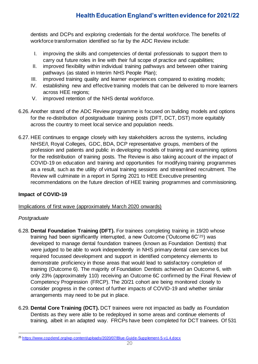dentists and DCPs and exploring credentials for the dental workforce. The benefits of workforce transformation identified so far by the ADC Review include:

- I. improving the skills and competencies of dental professionals to support them to carry out future roles in line with their full scope of practice and capabilities;
- II. improved flexibility within individual training pathways and between other training pathways (as stated in Interim NHS People Plan);
- III. improved training quality and learner experiences compared to existing models;
- IV. establishing new and effective training models that can be delivered to more learners across HEE regions;
- V. improved retention of the NHS dental workforce.
- 6.26. Another strand of the ADC Review programme is focused on building models and options for the re-distribution of postgraduate training posts (DFT, DCT, DST) more equitably across the country to meet local service and population needs.
- 6.27. HEE continues to engage closely with key stakeholders across the systems, including NHSE/I, Royal Colleges, GDC, BDA, DCP representative groups, members of the profession and patients and public in developing models of training and examining options for the redistribution of training posts. The Review is also taking account of the impact of COVID-19 on education and training and opportunities for modifying training programmes as a result, such as the utility of virtual training sessions and streamlined recruitment. The Review will culminate in a report in Spring 2021 to HEE Executive presenting recommendations on the future direction of HEE training programmes and commissioning.

#### **Impact of COVID-19**

Implications of first wave (approximately March 2020 onwards)

#### *Postgraduate*

- 6.28. **Dental Foundation Training (DFT).** For trainees completing training in 19/20 whose training had been significantly interrupted, a new Outcome ('Outcome 6C'25) was developed to manage dental foundation trainees (known as Foundation Dentists) that were judged to be able to work independently in NHS primary dental care services but required focussed development and support in identified competency elements to demonstrate proficiency in those areas that would lead to satisfactory completion of training (Outcome 6). The majority of Foundation Dentists achieved an Outcome 6, with only 23% (approximately 110) receiving an Outcome 6C confirmed by the Final Review of Competency Progression (FRCP). The 20/21 cohort are being monitored closely to consider progress in the context of further impacts of COVID-19 and whether similar arrangements may need to be put in place.
- 6.29. **Dental Core Training (DCT).** DCT trainees were not impacted as badly as Foundation Dentists as they were able to be redeployed in some areas and continue elements of training, albeit in an adapted way. FRCPs have been completed for DCT trainees. Of 531

<sup>25</sup> <https://www.copdend.org/wp-content/uploads/2020/07/Blue-Guide-Supplement-5-v1.4.docx>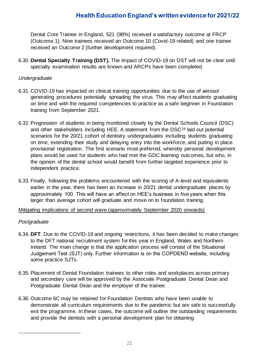Dental Core Trainee in England, 521 (98%) received a satisfactory outcome at FRCP (Outcome 1). Nine trainees received an Outcome 10 (Covid-19 related) and one trainee received an Outcome 2 (further development required).

6.30. **Dental Specialty Training (DST).** The impact of COVID-19 on DST will not be clear until specialty examination results are known and ARCPs have been completed.

#### *Undergraduate*

- 6.31. COVID-19 has impacted on clinical training opportunities due to the use of aerosol generating procedures potentially spreading the virus. This may affect students graduating on time and with the required competencies to practice as a safe beginner in Foundation training from September 2021.
- 6.32. Progression of students in being monitored closely by the Dental Schools Council (DSC) and other stakeholders including HEE. A statement from the DSC<sup>26</sup> laid out potential scenarios for the 20/21 cohort of dentistry undergraduates including students graduating on time, extending their study and delaying entry into the workforce, and putting in place provisional registration. The first scenario most preferred, whereby personal development plans would be used for students who had met the GDC learning outcomes, but who, in the opinion of the dental school would benefit from further targeted experience prior to independent practice.
- 6.33. Finally, following the problems encountered with the scoring of A-level and equivalents earlier in the year, there has been an increase in 20/21 dental undergraduate places by approximately 100. This will have an affect on HEE's business in five years when this larger than average cohort will graduate and move on to foundation training.

#### Mitigating implications of second wave (approximately September 2020 onwards)

#### *Postgraduate*

- 6.34. **DFT**. Due to the COVID-19 and ongoing restrictions, it has been decided to make changes to the DFT national recruitment system for this year in England, Wales and Northern Ireland. The main change is that the application process will consist of the Situational Judgement Test (SJT) only. Further information is on the COPDEND website, including some practice SJTs.
- 6.35. Placement of Dental Foundation trainees to other roles and workplaces across primary and secondary care will be approved by the Associate Postgraduate Dental Dean and Postgraduate Dental Dean and the employer of the trainee.
- 6.36. Outcome 6C may be retained for Foundation Dentists who have been unable to demonstrate all curriculum requirements due to the pandemic but are safe to successfully exit the programme. In these cases, the outcome will outline the outstanding requirements and provide the dentists with a personal development plan for obtaining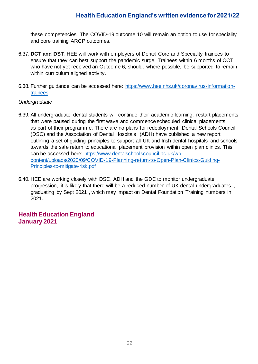these competencies. The COVID-19 outcome 10 will remain an option to use for speciality and core training ARCP outcomes.

- 6.37. **DCT and DST**. HEE will work with employers of Dental Core and Speciality trainees to ensure that they can best support the pandemic surge. Trainees within 6 months of CCT, who have not yet received an Outcome 6, should, where possible, be supported to remain within curriculum aligned activity.
- 6.38. Further guidance can be accessed here: [https://www.hee.nhs.uk/coronavirus-information](https://www.hee.nhs.uk/coronavirus-information-trainees)[trainees](https://www.hee.nhs.uk/coronavirus-information-trainees)

#### *Undergraduate*

- 6.39. All undergraduate dental students will continue their academic learning, restart placements that were paused during the first wave and commence scheduled clinical placements as part of their programme. There are no plans for redeployment. Dental Schools Council (DSC) and the Association of Dental Hospitals (ADH) have published a new report outlining a set of guiding principles to support all UK and Irish dental hospitals and schools towards the safe return to educational placement provision within open plan clinics. This can be accessed here: [https://www.dentalschoolscouncil.ac.uk/wp](https://www.dentalschoolscouncil.ac.uk/wp-content/uploads/2020/09/COVID-19-Planning-return-to-Open-Plan-Clinics-Guiding-Principles-to-mitigate-risk.pdf)[content/uploads/2020/09/COVID-19-Planning-return-to-Open-Plan-Clinics-Guiding-](https://www.dentalschoolscouncil.ac.uk/wp-content/uploads/2020/09/COVID-19-Planning-return-to-Open-Plan-Clinics-Guiding-Principles-to-mitigate-risk.pdf)[Principles-to-mitigate-risk.pdf](https://www.dentalschoolscouncil.ac.uk/wp-content/uploads/2020/09/COVID-19-Planning-return-to-Open-Plan-Clinics-Guiding-Principles-to-mitigate-risk.pdf)
- 6.40. HEE are working closely with DSC, ADH and the GDC to monitor undergraduate progression, it is likely that there will be a reduced number of UK dental undergraduates , graduating by Sept 2021 , which may impact on Dental Foundation Training numbers in 2021.

#### **Health Education England January 2021**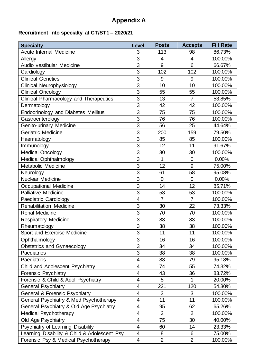# **Appendix A**

# **Recruitment into specialty at CT/ST1 – 2020/21**

| <b>Specialty</b>                             | <b>Level</b>             | <b>Posts</b>   | <b>Accepts</b>  | <b>Fill Rate</b> |
|----------------------------------------------|--------------------------|----------------|-----------------|------------------|
| <b>Acute Internal Medicine</b>               | 3                        | 113            | 98              | 86.73%           |
| Allergy                                      | 3                        | $\overline{4}$ | 4               | 100.00%          |
| Audio vestibular Medicine                    | 3                        | 9              | $6\phantom{1}6$ | 66.67%           |
| Cardiology                                   | 3                        | 102            | 102             | 100.00%          |
| <b>Clinical Genetics</b>                     | 3                        | 9              | 9               | 100.00%          |
| <b>Clinical Neurophysiology</b>              | 3                        | 10             | 10              | 100.00%          |
| <b>Clinical Oncology</b>                     | 3                        | 55             | 55              | 100.00%          |
| Clinical Pharmacology and Therapeutics       | 3                        | 13             | $\overline{7}$  | 53.85%           |
| Dermatology                                  | 3                        | 42             | 42              | 100.00%          |
| <b>Endocrinology and Diabetes Mellitus</b>   | 3                        | 75             | 75              | 100.00%          |
| Gastroenterology                             | $\overline{3}$           | 76             | 76              | 100.00%          |
| Genito-urinary Medicine                      | 3                        | 56             | 25              | 44.64%           |
| Geriatric Medicine                           | 3                        | 200            | 159             | 79.50%           |
| Haematology                                  | $\overline{3}$           | 85             | 85              | 100.00%          |
| Immunology                                   | 3                        | 12             | 11              | 91.67%           |
| <b>Medical Oncology</b>                      | 3                        | 30             | 30              | 100.00%          |
| <b>Medical Ophthalmology</b>                 | $\overline{3}$           | 1              | $\overline{0}$  | 0.00%            |
| Metabolic Medicine                           | 3                        | 12             | 9               | 75.00%           |
| Neurology                                    | 3                        | 61             | 58              | 95.08%           |
| <b>Nuclear Medicine</b>                      | 3                        | $\overline{0}$ | $\overline{0}$  | 0.00%            |
| Occupational Medicine                        | 3                        | 14             | 12              | 85.71%           |
| <b>Palliative Medicine</b>                   | 3                        | 53             | 53              | 100.00%          |
| Paediatric Cardiology                        | $\overline{4}$           | $\overline{7}$ | $\overline{7}$  | 100.00%          |
| <b>Rehabilitation Medicine</b>               | 3                        | 30             | 22              | 73.33%           |
| <b>Renal Medicine</b>                        | 3                        | 70             | 70              | 100.00%          |
| <b>Respiratory Medicine</b>                  | 3                        | 83             | 83              | 100.00%          |
| Rheumatology                                 | 3                        | 38             | 38              | 100.00%          |
| Sport and Exercise Medicine                  | 3                        | 11             | 11              | 100.00%          |
| Ophthalmology                                | 3                        | 16             | 16              | 100.00%          |
| <b>Obstetrics and Gynaecology</b>            | 3                        | 34             | 34              | 100.00%          |
| Paediatrics                                  | 3                        | 38             | 38              | 100.00%          |
| <b>Paediatrics</b>                           | $\overline{\mathcal{A}}$ | 83             | 79              | 95.18%           |
| Child and Adolescent Psychiatry              | $\overline{\mathbf{4}}$  | 74             | 55              | 74.32%           |
| Forensic Psychiatry                          | 4                        | 43             | 36              | 83.72%           |
| Forensic & Child & Adol Psychiatry           | 4                        | 5              | 1               | 20.00%           |
| <b>General Psychiatry</b>                    | $\overline{4}$           | 221            | 120             | 54.30%           |
| <b>General &amp; Forensic Psychiatry</b>     | 4                        | 3              | 3               | 100.00%          |
| General Psychiatry & Med Psychotherapy       | $\overline{\mathbf{4}}$  | 11             | 11              | 100.00%          |
| General Psychiatry & Old Age Psychiatry      | $\overline{\mathbf{4}}$  | 95             | 62              | 65.26%           |
| <b>Medical Psychotherapy</b>                 | $\overline{4}$           | $\overline{2}$ | $\overline{2}$  | 100.00%          |
| Old Age Psychiatry                           | $\overline{4}$           | 75             | 30              | 40.00%           |
| Psychiatry of Learning Disability            | 4                        | 60             | 14              | 23.33%           |
| Learning Disability & Child & Adolescent Psy | $\overline{4}$           | 8              | 6               | 75.00%           |
| Forensic Psy & Medical Psychotherapy         | $\overline{4}$           | $\overline{2}$ | 2               | 100.00%          |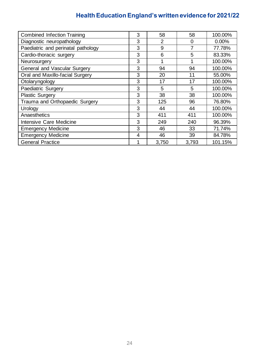| <b>Combined Infection Training</b> | 3 | 58             | 58             | 100.00%  |
|------------------------------------|---|----------------|----------------|----------|
| Diagnostic neuropathology          | 3 | $\overline{2}$ | $\overline{0}$ | $0.00\%$ |
| Paediatric and perinatal pathology | 3 | 9              | 7              | 77.78%   |
| Cardio-thoracic surgery            | 3 | 6              | 5              | 83.33%   |
| Neurosurgery                       | 3 |                |                | 100.00%  |
| General and Vascular Surgery       | 3 | 94             | 94             | 100.00%  |
| Oral and Maxillo-facial Surgery    | 3 | 20             | 11             | 55.00%   |
| Otolaryngology                     | 3 | 17             | 17             | 100.00%  |
| Paediatric Surgery                 | 3 | 5              | 5              | 100.00%  |
| <b>Plastic Surgery</b>             | 3 | 38             | 38             | 100.00%  |
| Trauma and Orthopaedic Surgery     | 3 | 125            | 96             | 76.80%   |
| Urology                            | 3 | 44             | 44             | 100.00%  |
| Anaesthetics                       | 3 | 411            | 411            | 100.00%  |
| Intensive Care Medicine            | 3 | 249            | 240            | 96.39%   |
| <b>Emergency Medicine</b>          | 3 | 46             | 33             | 71.74%   |
| <b>Emergency Medicine</b>          | 4 | 46             | 39             | 84.78%   |
| <b>General Practice</b>            |   | 3,750          | 3,793          | 101.15%  |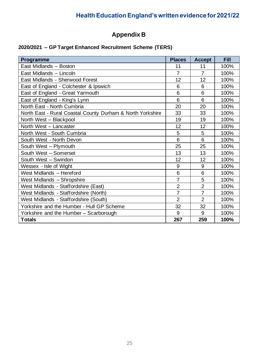# **Appendix B**

# **2020/2021 – GP Target Enhanced Recruitment Scheme (TERS)**

| Programme                                                  | <b>Places</b>   | <b>Accept</b>  | <b>Fill</b> |
|------------------------------------------------------------|-----------------|----------------|-------------|
| East Midlands - Boston                                     | 11              | 11             | 100%        |
| East Midlands - Lincoln                                    | $\overline{7}$  | $\overline{7}$ | 100%        |
| East Midlands - Sherwood Forest                            | 12              | 12             | 100%        |
| East of England - Colchester & Ipswich                     | $6\phantom{1}6$ | 6              | 100%        |
| East of England - Great Yarmouth                           | 6               | 6              | 100%        |
| East of England - King's Lynn                              | 6               | 6              | 100%        |
| North East - North Cumbria                                 | 20              | 20             | 100%        |
| North East - Rural Coastal County Durham & North Yorkshire | 33              | 33             | 100%        |
| North West - Blackpool                                     | 19              | 19             | 100%        |
| North West - Lancaster                                     | 12              | 12             | 100%        |
| North West - South Cumbria                                 | 5               | 5              | 100%        |
| South West - North Devon                                   | 6               | 6              | 100%        |
| South West - Plymouth                                      | 25              | 25             | 100%        |
| South West - Somerset                                      | 13              | 13             | 100%        |
| South West - Swindon                                       | 12              | 12             | 100%        |
| Wessex - Isle of Wight                                     | 9               | 9              | 100%        |
| West Midlands - Hereford                                   | 6               | 6              | 100%        |
| West Midlands - Shropshire                                 | $\overline{7}$  | 5              | 100%        |
| West Midlands - Staffordshire (East)                       | $\overline{2}$  | $\overline{2}$ | 100%        |
| West Midlands - Staffordshire (North)                      | $\overline{7}$  | $\overline{7}$ | 100%        |
| West Midlands - Staffordshire (South)                      | $\overline{2}$  | $\overline{2}$ | 100%        |
| Yorkshire and the Humber - Hull GP Scheme                  | 32              | 32             | 100%        |
| Yorkshire and the Humber - Scarborough                     | 9               | 9              | 100%        |
| <b>Totals</b>                                              | 267             | 259            | 100%        |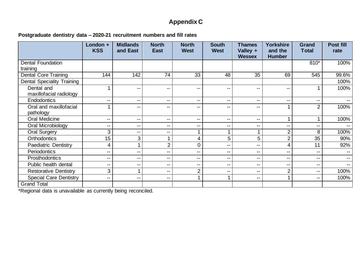# **Appendix C**

**Postgraduate dentistry data – 2020-21 recruitment numbers and fill rates**

|                                   | London +<br><b>KSS</b> | <b>Midlands</b><br>and East | <b>North</b><br><b>East</b> | <b>North</b><br><b>West</b> | <b>South</b><br><b>West</b> | <b>Thames</b><br>Valley + | <b>Yorkshire</b><br>and the | Grand<br><b>Total</b>    | Post fill<br>rate        |
|-----------------------------------|------------------------|-----------------------------|-----------------------------|-----------------------------|-----------------------------|---------------------------|-----------------------------|--------------------------|--------------------------|
|                                   |                        |                             |                             |                             |                             | <b>Wessex</b>             | <b>Humber</b>               |                          |                          |
| <b>Dental Foundation</b>          |                        |                             |                             |                             |                             |                           |                             | 810*                     | 100%                     |
| training                          |                        |                             |                             |                             |                             |                           |                             |                          |                          |
| <b>Dental Core Training</b>       | 144                    | 142                         | 74                          | 33                          | 48                          | 35                        | 69                          | 545                      | 99.6%                    |
| <b>Dental Speciality Training</b> |                        |                             |                             |                             |                             |                           |                             |                          | 100%                     |
| Dental and                        |                        | $-$                         | $\overline{\phantom{a}}$    | $\overline{\phantom{a}}$    | $\overline{\phantom{m}}$    | $\qquad \qquad -$         | $\overline{\phantom{a}}$    |                          | 100%                     |
| maxillofacial radiology           |                        |                             |                             |                             |                             |                           |                             |                          |                          |
| <b>Endodontics</b>                | --                     | --                          | $\overline{\phantom{a}}$    | $\overline{\phantom{a}}$    | $\mathbf{u}$                | $- -$                     | $\overline{\phantom{a}}$    | $\overline{\phantom{a}}$ | $- -$                    |
| Oral and maxillofacial            | 1                      | --                          | $- -$                       | $\overline{\phantom{a}}$    | $\overline{\phantom{m}}$    | --                        |                             | $\overline{2}$           | 100%                     |
| pathology                         |                        |                             |                             |                             |                             |                           |                             |                          |                          |
| <b>Oral Medicine</b>              | --                     | --                          | $-$                         | $-$                         | $\overline{\phantom{m}}$    | $- -$                     |                             |                          | 100%                     |
| Oral Microbiology                 | --                     | $- -$                       | $\overline{\phantom{a}}$    | $\mathbf{u}$                | $\overline{\phantom{m}}$    | --                        | $\overline{\phantom{a}}$    | $-$                      |                          |
| Oral Surgery                      | 3                      | --                          | $-$                         | 1                           |                             |                           | $\overline{2}$              | 8                        | 100%                     |
| Orthodontics                      | 15                     | 3                           |                             | 4                           | 5                           | $5\phantom{.0}$           | $\overline{2}$              | 35                       | 90%                      |
| <b>Paediatric Dentistry</b>       | $\overline{4}$         |                             | $\overline{2}$              | 0                           | $\overline{\phantom{m}}$    | $- -$                     | 4                           | 11                       | 92%                      |
| Periodontics                      | --                     | --                          | $- -$                       | $\overline{\phantom{m}}$    | $\overline{\phantom{m}}$    | $- -$                     | $- -$                       | --                       |                          |
| Prosthodontics                    | --                     | --                          | $\overline{\phantom{a}}$    | $\overline{\phantom{m}}$    | $\overline{\phantom{a}}$    | $- -$                     | $-$                         | $\overline{\phantom{m}}$ | $\sim$ $\sim$            |
| Public health dental              | --                     | --                          | $\overline{\phantom{a}}$    | $\overline{\phantom{m}}$    | $\overline{\phantom{m}}$    | $- -$                     | $\overline{\phantom{a}}$    | $-$                      | $\overline{\phantom{a}}$ |
| <b>Restorative Dentistry</b>      | 3                      |                             | $- -$                       | 2                           | $\overline{\phantom{m}}$    | --                        | $\overline{2}$              | $\overline{\phantom{m}}$ | 100%                     |
| <b>Special Care Dentistry</b>     | --                     | --                          | $\overline{\phantom{a}}$    | 1                           |                             | $- -$                     |                             | $\overline{\phantom{m}}$ | 100%                     |
| <b>Grand Total</b>                |                        |                             |                             |                             |                             |                           |                             |                          |                          |

\*Regional data is unavailable as currently being reconciled.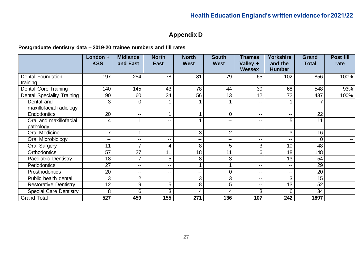# **Appendix D**

### **Postgraduate dentistry data – 2019-20 trainee numbers and fill rates**

|                                   | London +                 | <b>Midlands</b> | <b>North</b>             | <b>North</b> | <b>South</b>   | <b>Thames</b> | <b>Yorkshire</b>         | <b>Grand</b> | Post fill     |
|-----------------------------------|--------------------------|-----------------|--------------------------|--------------|----------------|---------------|--------------------------|--------------|---------------|
|                                   | <b>KSS</b>               | and East        | <b>East</b>              | <b>West</b>  | <b>West</b>    | Valley +      | and the                  | <b>Total</b> | rate          |
|                                   |                          |                 |                          |              |                | <b>Wessex</b> | <b>Humber</b>            |              |               |
| <b>Dental Foundation</b>          | 197                      | 254             | 78                       | 81           | 79             | 65            | 102                      | 856          | 100%          |
| training                          |                          |                 |                          |              |                |               |                          |              |               |
| <b>Dental Core Training</b>       | 140                      | 145             | 43                       | 78           | 44             | 30            | 68                       | 548          | 93%           |
| <b>Dental Speciality Training</b> | 190                      | 60              | 34                       | 56           | 13             | 12            | 72                       | 437          | 100%          |
| Dental and                        | 3                        | 0               |                          |              |                | --            |                          |              |               |
| maxillofacial radiology           |                          |                 |                          |              |                |               |                          |              |               |
| <b>Endodontics</b>                | 20                       | $\mathbf{u}$    |                          |              | $\overline{0}$ | --            | $\overline{\phantom{a}}$ | 22           |               |
| Oral and maxillofacial            | 4                        |                 | --                       |              |                | --            | 5                        | 11           |               |
| pathology                         |                          |                 |                          |              |                |               |                          |              |               |
| <b>Oral Medicine</b>              | 7                        |                 | $\overline{\phantom{m}}$ | 3            | $\overline{2}$ | --            | 3                        | 16           |               |
| Oral Microbiology                 | $\overline{\phantom{m}}$ | --              | $\overline{\phantom{m}}$ | --           | --             | --            | $\overline{\phantom{a}}$ | 0            | $\sim$ $\sim$ |
| <b>Oral Surgery</b>               | 11                       | 7               | 4                        | 8            | 5              | 3             | 10                       | 48           |               |
| <b>Orthodontics</b>               | 57                       | 27              | 11                       | 18           | 11             | 6             | 18                       | 148          |               |
| <b>Paediatric Dentistry</b>       | 18                       | 7               | 5                        | 8            | 3              | --            | 13                       | 54           |               |
| Periodontics                      | $\overline{27}$          | $\mathbf{u}$    | $\mathbf{u}$             |              |                | --            | $\overline{\phantom{a}}$ | 29           |               |
| Prosthodontics                    | 20                       | --              | $\overline{\phantom{m}}$ | --           | 0              | --            | $-$                      | 20           |               |
| Public health dental              | 3                        | $\overline{2}$  |                          | 3            | 3              | --            | 3                        | 15           |               |
| <b>Restorative Dentistry</b>      | $1\overline{2}$          | 9               | 5                        | 8            | 5              | --            | 13                       | 52           |               |
| <b>Special Care Dentistry</b>     | 8                        | 6               | 3                        | 4            | 4              | 3             | 6                        | 34           |               |
| <b>Grand Total</b>                | 527                      | 459             | 155                      | 271          | 136            | 107           | 242                      | 1897         |               |